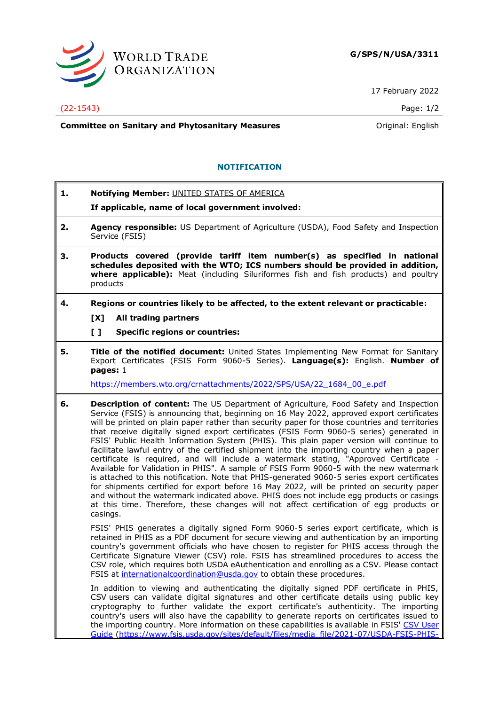

17 February 2022

#### (22-1543) Page: 1/2

**Committee on Sanitary and Phytosanitary Measures Committee on Sanitary and Phytosanitary Measures Committee And American** 

## **NOTIFICATION**

**1. Notifying Member:** UNITED STATES OF AMERICA

### **If applicable, name of local government involved:**

- **2. Agency responsible:** US Department of Agriculture (USDA), Food Safety and Inspection Service (FSIS)
- **3. Products covered (provide tariff item number(s) as specified in national schedules deposited with the WTO; ICS numbers should be provided in addition, where applicable):** Meat (including Siluriformes fish and fish products) and poultry products

### **4. Regions or countries likely to be affected, to the extent relevant or practicable:**

- **[X] All trading partners**
- **[ ] Specific regions or countries:**
- **5. Title of the notified document:** United States Implementing New Format for Sanitary Export Certificates (FSIS Form 9060-5 Series). **Language(s):** English. **Number of pages:** 1

[https://members.wto.org/crnattachments/2022/SPS/USA/22\\_1684\\_00\\_e.pdf](https://members.wto.org/crnattachments/2022/SPS/USA/22_1684_00_e.pdf)

**6. Description of content:** The US Department of Agriculture, Food Safety and Inspection Service (FSIS) is announcing that, beginning on 16 May 2022, approved export certificates will be printed on plain paper rather than security paper for those countries and territories that receive digitally signed export certificates (FSIS Form 9060-5 series) generated in FSIS' Public Health Information System (PHIS). This plain paper version will continue to facilitate lawful entry of the certified shipment into the importing country when a paper certificate is required, and will include a watermark stating, "Approved Certificate - Available for Validation in PHIS". A sample of FSIS Form 9060-5 with the new watermark is attached to this notification. Note that PHIS-generated 9060-5 series export certificates for shipments certified for export before 16 May 2022, will be printed on security paper and without the watermark indicated above. PHIS does not include egg products or casings at this time. Therefore, these changes will not affect certification of egg products or casings.

FSIS' PHIS generates a digitally signed Form 9060-5 series export certificate, which is retained in PHIS as a PDF document for secure viewing and authentication by an importing country's government officials who have chosen to register for PHIS access through the Certificate Signature Viewer (CSV) role. FSIS has streamlined procedures to access the CSV role, which requires both USDA eAuthentication and enrolling as a CSV. Please contact FSIS at [internationalcoordination@usda.gov](mailto:internationalcoordination@usda.gov) to obtain these procedures.

In addition to viewing and authenticating the digitally signed PDF certificate in PHIS, CSV users can validate digital signatures and other certificate details using public key cryptography to further validate the export certificate's authenticity. The importing country's users will also have the capability to generate reports on certificates issued to the importing country. More information on these capabilities is available in FSIS' [CSV User](https://www.fsis.usda.gov/sites/default/files/media_file/2021-07/USDA-FSIS-PHIS-Certificate-Signature-Viewer-Quick-Reference-Guide.pdf)  [Guide](https://www.fsis.usda.gov/sites/default/files/media_file/2021-07/USDA-FSIS-PHIS-Certificate-Signature-Viewer-Quick-Reference-Guide.pdf) [\(https://www.fsis.usda.gov/sites/default/files/media\\_file/2021-07/USDA-FSIS-PHIS-](https://www.fsis.usda.gov/sites/default/files/media_file/2021-07/USDA-FSIS-PHIS-Certificate-Signature-Viewer-Quick-Reference-Guide.pdf)